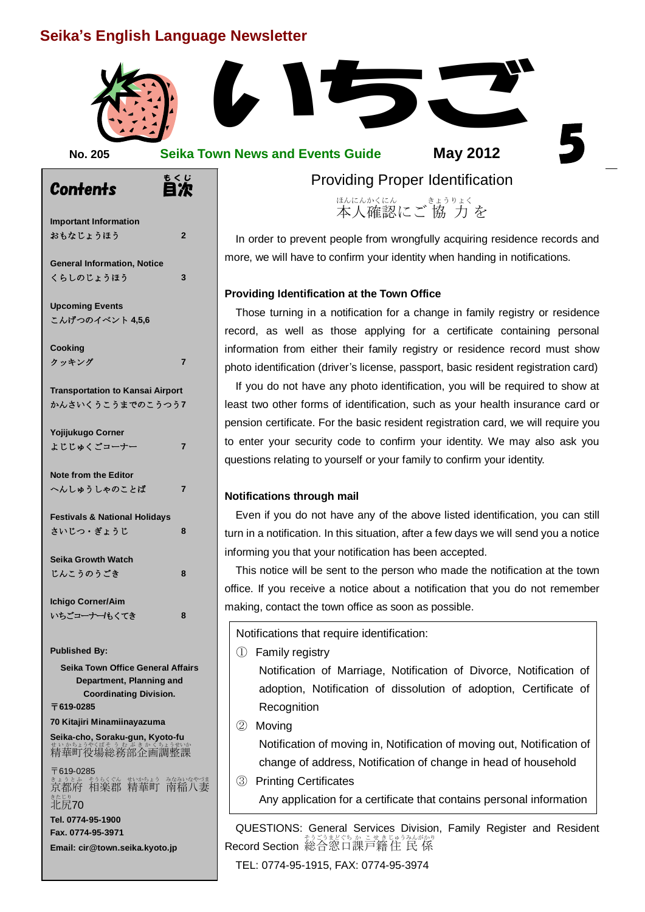# **Seika's English Language Newsletter**



| ×<br>v | ۰. |  |
|--------|----|--|
|        |    |  |
|        |    |  |

**No. 205 Seika Town News and Events Guide**

**May 2012**

**Contents** もくじ<br>**自次 Important Information** おもなじょうほう **2 General Information, Notice** くらしのじょうほう **3 Upcoming Events** こんげつのイベント **4,5,6 Cooking** クッキング **7 Transportation to Kansai Airport** かんさいくうこうまでのこうつう**7 Yojijukugo Corner** よじじゅくごコーナー **7 Note from the Editor** へんしゅうしゃのことば **7 Festivals & National Holidays** さいじつ・ぎょうじ **8 Seika Growth Watch** じんこうのうごき **8 Ichigo Corner/Aim** いちごコーナー**/**もくてき **8 Published By: Seika Town Office General Affairs Department, Planning and Coordinating Division.** 〒**619-0285 70 Kitajiri Minamiinayazuma**

#### **Seika-cho, Soraku-gun, Kyoto-fu** まいかちょうやくばそう むぶき かくちょうせいか

〒619-0285 まょうとふ もうくぐん むかあょう なみいなやづま<br>京都府 相楽郡 精華町 南稲八妻 <sub>きたじり</sub><br>北尻**70 Tel. 0774-95-1900 Fax. 0774-95-3971 Email: cir@town.seika.kyoto.jp**

Providing Proper Identification

<sub>ほんにんべにん</sub> きょうりょく<br>本人確認にご 協 力 を ほんにん かくにん

ord<br>ns. In order to prevent people from wrongfully acquiring residence records and more, we will have to confirm your identity when handing in notifications.

#### **Providing Identification at the Town Office**

Those turning in a notification for a change in family registry or residence<br>record, as well as those applying for a certificate containing personal Those turning in a notification for a change in family registry or residence information from either their family registry or residence record must show photo identification (driver's license, passport, basic resident registration card)

If you do not have any photo identification, you will be required to show at least two other forms of identification, such as your health insurance card or pension certificate. For the basic resident registration card, we will require you to enter your security code to confirm your identity. We may also ask you questions relating to yourself or your family to confirm your identity.

#### **Notifications through mail**

Even if you do not have any of the above listed identification, you can still turn in a notification. In this situation, after a few days we will send you a notice informing you that your notification has been accepted.

This notice will be sent to the person who made the notification at the town office. If you receive a notice about a notification that you do not remember making, contact the town office as soon as possible.

Notifications that require identification:

① Family registry

Notification of Marriage, Notification of Divorce, Notification of adoption, Notification of dissolution of adoption, Certificate of **Recognition** 

② Moving

Notification of moving in, Notification of moving out, Notification of change of address, Notification of change in head of household

③ Printing Certificates Any application for a certificate that contains personal information

QUESTIONS: General Services Division, Family Register and Resident Record Section 総合窓口課戸籍住 民 係

TEL: 0774-95-1915, FAX: 0774-95-3974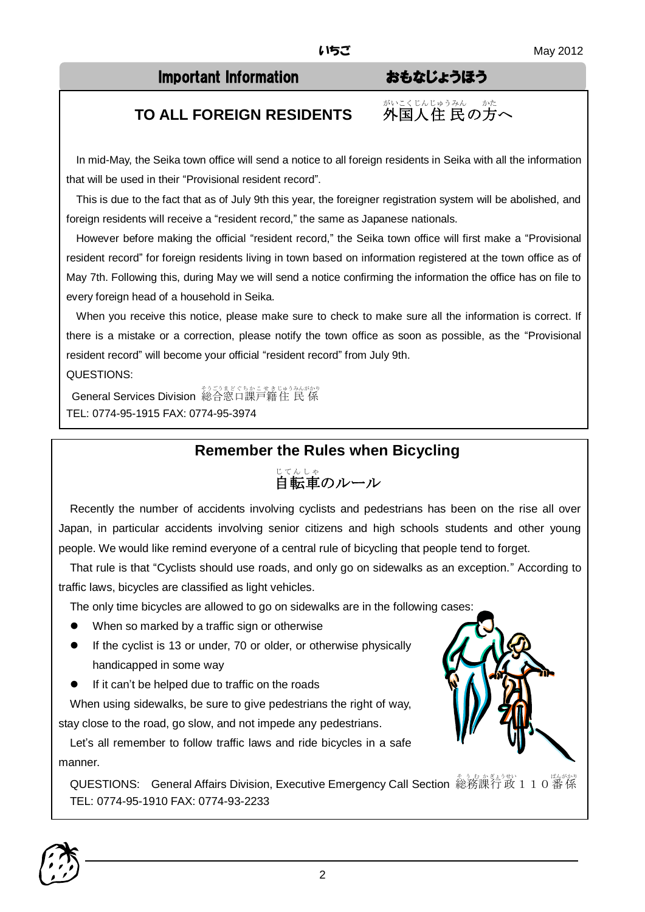## Important Information おもなじょうほう

がいこくじんじゅうみん かた

住 民の方へ

# **TO ALL FOREIGN RESIDENTS**

In mid-May, the Seika town office will send a notice to all foreign residents in Seika with all the information that will be used in their "Provisional resident record".

This is due to the fact that as of July 9th this year, the foreigner registration system will be abolished, and foreign residents will receive a "resident record," the same as Japanese nationals.

However before making the official "resident record," the Seika town office will first make a "Provisional resident record" for foreign residents living in town based on information registered at the town office as of May 7th. Following this, during May we will send a notice confirming the information the office has on file to every foreign head of a household in Seika.

When you receive this notice, please make sure to check to make sure all the information is correct. If there is a mistake or a correction, please notify the town office as soon as possible, as the "Provisional resident record" will become your official "resident record" from July 9th.

QUESTIONS:

<del>へ</del> そうごまどくちかこせきじゅうみんがかり<br>General Services Division 総合窓口課戸籍住 民 係 TEL: 0774-95-1915 FAX: 0774-95-3974

# **Remember the Rules when Bicycling**

# <sub>じてんしゃ</sub><br>自転車のルール

Recently the number of accidents involving cyclists and pedestrians has been on the rise all over Japan, in particular accidents involving senior citizens and high schools students and other young people. We would like remind everyone of a central rule of bicycling that people tend to forget.

That rule is that "Cyclists should use roads, and only go on sidewalks as an exception." According to traffic laws, bicycles are classified as light vehicles.

The only time bicycles are allowed to go on sidewalks are in the following cases:

- When so marked by a traffic sign or otherwise
- If the cyclist is 13 or under, 70 or older, or otherwise physically handicapped in some way
- If it can't be helped due to traffic on the roads

When using sidewalks, be sure to give pedestrians the right of way, stay close to the road, go slow, and not impede any pedestrians.

Let's all remember to follow traffic laws and ride bicycles in a safe manner.

QUESTIONS: General Affairs Division, Executive Emergency Call Section 総務課行政110番係 TEL: 0774-95-1910 FAX: 0774-93-2233



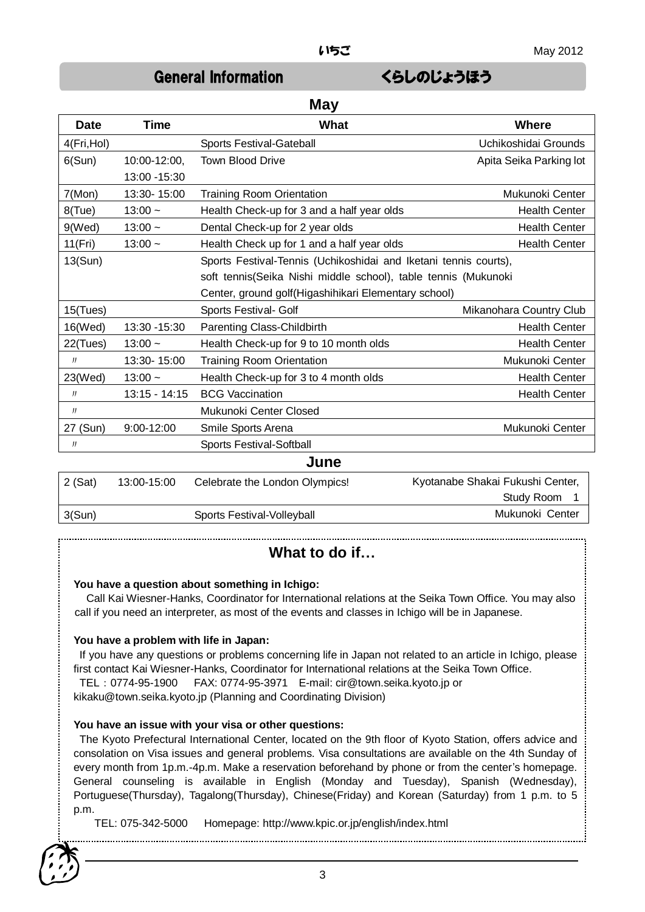# General Information くらしのじょうほう

| <b>May</b>  |                 |                                                                  |                         |
|-------------|-----------------|------------------------------------------------------------------|-------------------------|
| <b>Date</b> | <b>Time</b>     | What                                                             | <b>Where</b>            |
| 4(Fri, Hol) |                 | Sports Festival-Gateball                                         | Uchikoshidai Grounds    |
| 6(Sun)      | 10:00-12:00,    | <b>Town Blood Drive</b>                                          | Apita Seika Parking lot |
|             | 13:00 - 15:30   |                                                                  |                         |
| 7(Mon)      | 13:30-15:00     | <b>Training Room Orientation</b>                                 | Mukunoki Center         |
| $8$ (Tue)   | $13:00 -$       | Health Check-up for 3 and a half year olds                       | <b>Health Center</b>    |
| 9(Wed)      | $13:00 -$       | Dental Check-up for 2 year olds                                  | <b>Health Center</b>    |
| 11(Fri)     | $13:00 -$       | Health Check up for 1 and a half year olds                       | <b>Health Center</b>    |
| 13(Sun)     |                 | Sports Festival-Tennis (Uchikoshidai and Iketani tennis courts), |                         |
|             |                 | soft tennis(Seika Nishi middle school), table tennis (Mukunoki   |                         |
|             |                 | Center, ground golf(Higashihikari Elementary school)             |                         |
| 15(Tues)    |                 | Sports Festival- Golf                                            | Mikanohara Country Club |
| 16(Wed)     | 13:30 - 15:30   | Parenting Class-Childbirth                                       | <b>Health Center</b>    |
| 22(Tues)    | $13:00 -$       | Health Check-up for 9 to 10 month olds                           | <b>Health Center</b>    |
| JJ          | 13:30-15:00     | <b>Training Room Orientation</b>                                 | Mukunoki Center         |
| 23(Wed)     | $13:00 -$       | Health Check-up for 3 to 4 month olds                            | <b>Health Center</b>    |
| $J\bar{J}$  | $13:15 - 14:15$ | <b>BCG Vaccination</b>                                           | <b>Health Center</b>    |
| J           |                 | Mukunoki Center Closed                                           |                         |
| 27 (Sun)    | 9:00-12:00      | Smile Sports Arena                                               | Mukunoki Center         |
| IJ          |                 | Sports Festival-Softball                                         |                         |
| June        |                 |                                                                  |                         |

| $2$ (Sat) | 13:00-15:00 | Celebrate the London Olympics! | Kyotanabe Shakai Fukushi Center, |
|-----------|-------------|--------------------------------|----------------------------------|
|           |             |                                | Study Room                       |
| 3(Sun)    |             | Sports Festival-Volleyball     | Mukunoki Center                  |
|           |             |                                |                                  |

# **What to do if…**

#### **You have a question about something in Ichigo:**

Call Kai Wiesner-Hanks, Coordinator for International relations at the Seika Town Office. You may also call if you need an interpreter, as most of the events and classes in Ichigo will be in Japanese.

#### **You have a problem with life in Japan:**

If you have any questions or problems concerning life in Japan not related to an article in Ichigo, please first contact Kai Wiesner-Hanks, Coordinator for International relations at the Seika Town Office.

TEL:0774-95-1900 FAX: 0774-95-3971 E-mail: cir@town.seika.kyoto.jp or

kikaku@town.seika.kyoto.jp (Planning and Coordinating Division)

#### **You have an issue with your visa or other questions:**

The Kyoto Prefectural International Center, located on the 9th floor of Kyoto Station, offers advice and consolation on Visa issues and general problems. Visa consultations are available on the 4th Sunday of every month from 1p.m.-4p.m. Make a reservation beforehand by phone or from the center's homepage. General counseling is available in English (Monday and Tuesday), Spanish (Wednesday), Portuguese(Thursday), Tagalong(Thursday), Chinese(Friday) and Korean (Saturday) from 1 p.m. to 5 p.m.

TEL: 075-342-5000 Homepage: http://www.kpic.or.jp/english/index.html

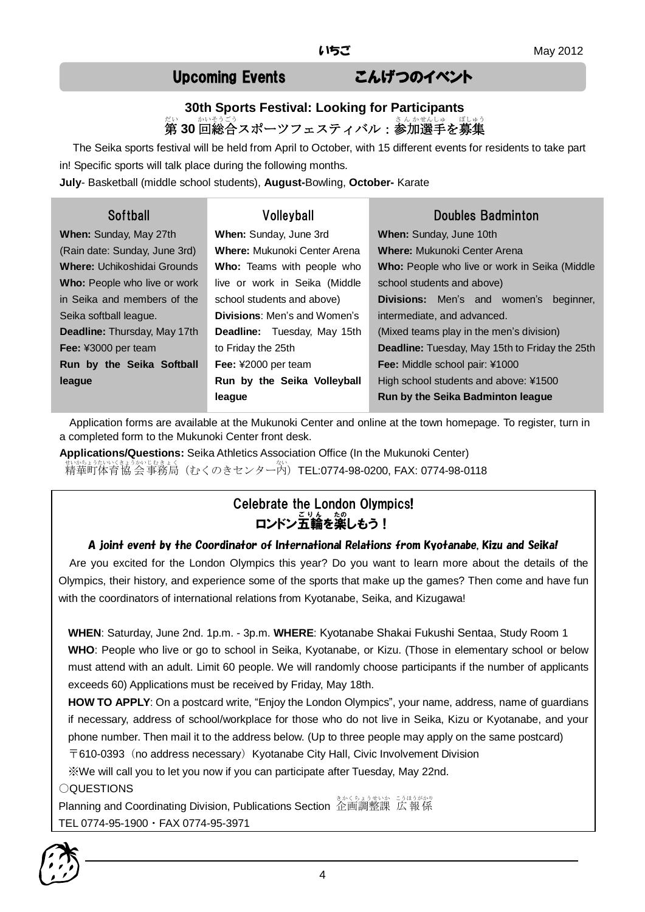# Upcoming Events こんげつのイベント

# **30th Sports Festival: Looking for Participants** 称<br>**第 30** 回総合スポーツフェスティバル:参加選手を募集

The Seika sports festival will be held from April to October, with 15 different events for residents to take part in! Specific sports will talk place during the following months.

**July**- Basketball (middle school students), **August-**Bowling, **October-** Karate

| <b>Softball</b>                     | Volleyball                          | Doubles Badminton                                     |  |
|-------------------------------------|-------------------------------------|-------------------------------------------------------|--|
| When: Sunday, May 27th              | When: Sunday, June 3rd              | When: Sunday, June 10th                               |  |
| (Rain date: Sunday, June 3rd)       | <b>Where:</b> Mukunoki Center Arena | <b>Where:</b> Mukunoki Center Arena                   |  |
| <b>Where:</b> Uchikoshidai Grounds  | <b>Who:</b> Teams with people who   | Who: People who live or work in Seika (Middle         |  |
| <b>Who:</b> People who live or work | live or work in Seika (Middle       | school students and above)                            |  |
| in Seika and members of the         | school students and above)          | <b>Divisions:</b> Men's and women's<br>beginner,      |  |
| Seika softball league.              | <b>Divisions:</b> Men's and Women's | intermediate, and advanced.                           |  |
| Deadline: Thursday, May 17th        | <b>Deadline:</b> Tuesday, May 15th  | (Mixed teams play in the men's division)              |  |
| Fee: ¥3000 per team                 | to Friday the 25th                  | <b>Deadline:</b> Tuesday, May 15th to Friday the 25th |  |
| Run by the Seika Softball           | Fee: ¥2000 per team                 | <b>Fee:</b> Middle school pair: ¥1000                 |  |
| league                              | Run by the Seika Volleyball         | High school students and above: ¥1500                 |  |
|                                     | league                              | Run by the Seika Badminton league                     |  |

Application forms are available at the Mukunoki Center and online at the town homepage. To register, turn in a completed form to the Mukunoki Center front desk.

**Applications/Questions:** Seika Athletics Association Office (In the Mukunoki Center) <sub>むかちょうないくきょうかいひきょく</sub><br>精華町体育協 会 事務局(むくのきセンター内)**TEL:0774-98-0200, FAX: 0774-98-0118** 

# Celebrate the London Olympics! ロンドン五輪を楽しもう!

#### A joint event by the Coordinator of International Relations from Kyotanabe, Kizu and Seika!

 Are you excited for the London Olympics this year? Do you want to learn more about the details of the Olympics, their history, and experience some of the sports that make up the games? Then come and have fun with the coordinators of international relations from Kyotanabe, Seika, and Kizugawa!

**WHEN**: Saturday, June 2nd. 1p.m. - 3p.m. **WHERE**: Kyotanabe Shakai Fukushi Sentaa, Study Room 1 **WHO**: People who live or go to school in Seika, Kyotanabe, or Kizu. (Those in elementary school or below must attend with an adult. Limit 60 people. We will randomly choose participants if the number of applicants exceeds 60) Applications must be received by Friday, May 18th.

**HOW TO APPLY**: On a postcard write, "Enjoy the London Olympics", your name, address, name of guardians if necessary, address of school/workplace for those who do not live in Seika, Kizu or Kyotanabe, and your phone number. Then mail it to the address below. (Up to three people may apply on the same postcard) 〒610-0393(no address necessary)Kyotanabe City Hall, Civic Involvement Division

※We will call you to let you now if you can participate after Tuesday, May 22nd.

#### ○QUESTIONS

Planning and Coordinating Division, Publications Section 企画調整課 広報係 TEL 0774-95-1900・FAX 0774-95-3971

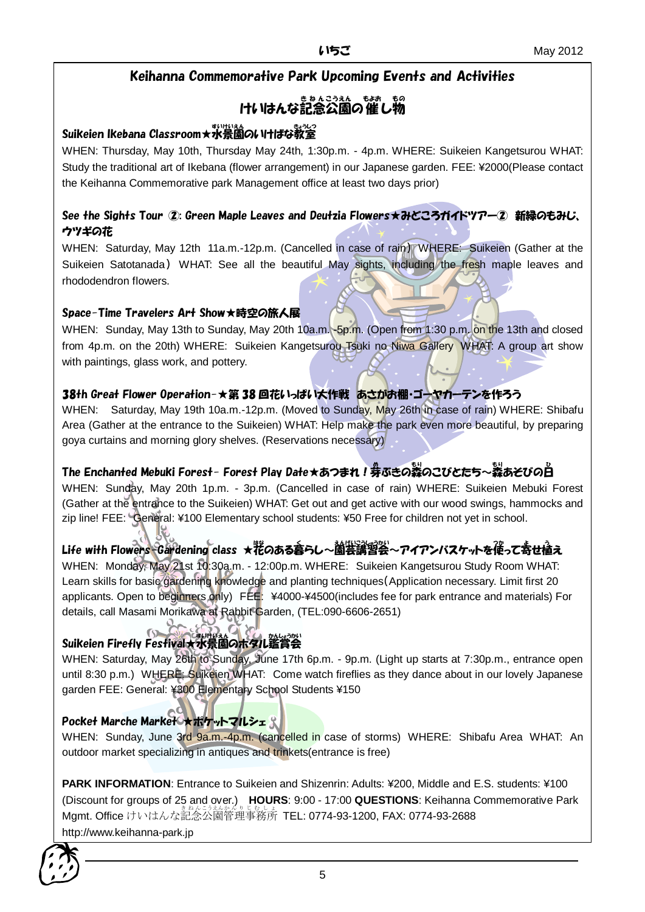### Keihanna Commemorative Park Upcoming Events and Activities

# けいはんな記念公園の催し物

### Suikeien Ikebana Classroom★水景園 すいけいえん のいけばな教室 きょうしつ

WHEN: Thursday, May 10th, Thursday May 24th, 1:30p.m. - 4p.m. WHERE: Suikeien Kangetsurou WHAT: Study the traditional art of Ikebana (flower arrangement) in our Japanese garden. FEE: ¥2000(Please contact the Keihanna Commemorative park Management office at least two days prior)

#### See the Sights Tour ②: Green Maple Leaves and Deutzia Flowers★みどころガイドツアー② 新緑のもみじ、 ウツギの花

WHEN: Saturday, May 12th 11a.m.-12p.m. (Cancelled in case of rain) WHERE: Suikeien (Gather at the Suikeien Satotanada) WHAT: See all the beautiful May sights, including the fresh maple leaves and rhododendron flowers.

#### Space-Time Travelers Art Show★時空の旅人展

WHEN: Sunday, May 13th to Sunday, May 20th 10a.m. -5p.m. (Open from 1:30 p.m. on the 13th and closed from 4p.m. on the 20th) WHERE: Suikeien Kangetsurou Tsuki no Niwa Gallery WHAT: A group art show with paintings, glass work, and pottery.

### 38th Great Flower Operation-★第 38 回花いっぱい大作戦 あさがお棚・ゴーヤカーテンを作ろう

WHEN: Saturday, May 19th 10a.m.-12p.m. (Moved to Sunday, May 26th in case of rain) WHERE: Shibafu Area (Gather at the entrance to the Suikeien) WHAT: Help make the park even more beautiful, by preparing goya curtains and morning glory shelves. (Reservations necessary)

## The Enchanted Mebuki Forest- Forest Play Date★あつまれ!券ぶきの蒸のこびとたち~蒸あそびの白

WHEN: Sunday, May 20th 1p.m. - 3p.m. (Cancelled in case of rain) WHERE: Suikeien Mebuki Forest (Gather at the entrance to the Suikeien) WHAT: Get out and get active with our wood swings, hammocks and zip line! FEE: General: ¥100 Elementary school students: ¥50 Free for children not yet in school.

# Life with Flowers Gardening class ★花のある暮らし~園芸講習会~アイアンバスケットを使って寄せ植え

WHEN: Monday, May 21st 10:30a.m. - 12:00p.m. WHERE: Suikeien Kangetsurou Study Room WHAT: Learn skills for basic gardening knowledge and planting techniques(Application necessary. Limit first 20 applicants. Open to beginners only) FEE: ¥4000-¥4500(includes fee for park entrance and materials) For details, call Masami Morikawa at Rabbit Garden, (TEL:090-6606-2651)

## Suikeien Firefly Festival★水景園のホタル鑑賞会

WHEN: Saturday, May 26th to Sunday, June 17th 6p.m. - 9p.m. (Light up starts at 7:30p.m., entrance open until 8:30 p.m.) WHERE: Suikeien WHAT: Come watch fireflies as they dance about in our lovely Japanese garden FEE: General: ¥300 Elementary School Students ¥150

#### Pocket Marche Market \*ポケットマルシェ

WHEN: Sunday, June 3rd 9a.m.-4p.m. (cancelled in case of storms) WHERE: Shibafu Area WHAT: An outdoor market specializing in antiques and trinkets(entrance is free)

**PARK INFORMATION**: Entrance to Suikeien and Shizenrin: Adults: ¥200, Middle and E.S. students: ¥100 (Discount for groups of 25 and over.) **HOURS**: 9:00 - 17:00 **QUESTIONS**: Keihanna Commemorative Park .<br>Mgmt. Office けいはんな記念公園管理事務所 TEL: 0774-93-1200, FAX: 0774-93-2688 http://www.keihanna-park.jp

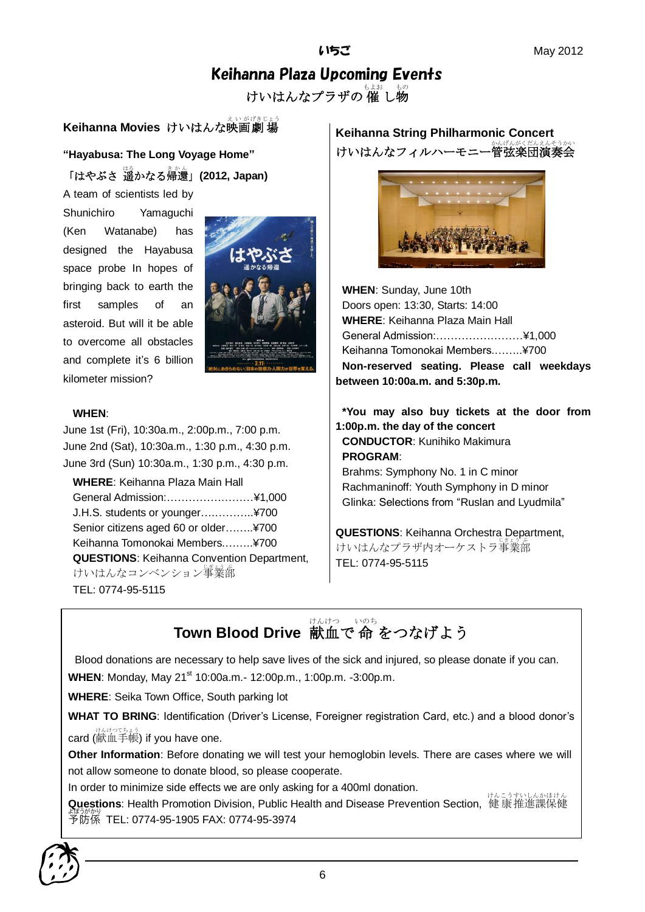# Keihanna Plaza Upcoming Events

けいはんなプラザの 催 し物

# **Keihanna Movies** けいはんな映画劇場

**"Hayabusa: The Long Voyage Home"**

「はやぶさ 遥 はる かなる帰還 きかん 」**(2012, Japan)**

A team of scientists led by Shunichiro Yamaguchi (Ken Watanabe) has designed the Hayabusa space probe In hopes of bringing back to earth the first samples of an asteroid. But will it be able to overcome all obstacles and complete it's 6 billion kilometer mission?



#### **WHEN**:

June 1st (Fri), 10:30a.m., 2:00p.m., 7:00 p.m. June 2nd (Sat), 10:30a.m., 1:30 p.m., 4:30 p.m. June 3rd (Sun) 10:30a.m., 1:30 p.m., 4:30 p.m.

**WHERE**: Keihanna Plaza Main Hall General Admission:……………………¥1,000 J.H.S. students or younger….………..¥700 Senior citizens aged 60 or older……..¥700 Keihanna Tomonokai Members.……..¥700 **QUESTIONS**: Keihanna Convention Department, けいはんなコンベンション<sup>事</sup>業部 TEL: 0774-95-5115

**Keihanna String Philharmonic Concert** けいはんなフィルハーモニー管弦楽団演奏会



**WHEN**: Sunday, June 10th Doors open: 13:30, Starts: 14:00 **WHERE**: Keihanna Plaza Main Hall General Admission:……………………¥1,000 Keihanna Tomonokai Members.……..¥700 **Non-reserved seating. Please call weekdays between 10:00a.m. and 5:30p.m.**

**\*You may also buy tickets at the door from 1:00p.m. the day of the concert CONDUCTOR**: Kunihiko Makimura **PROGRAM**: Brahms: Symphony No. 1 in C minor

Rachmaninoff: Youth Symphony in D minor Glinka: Selections from "Ruslan and Lyudmila"

**QUESTIONS**: Keihanna Orchestra Department, けいはんなプラザ内オーケストラ事業部 TEL: 0774-95-5115

**Town Blood Drive** 献血で命をつなげよう

Blood donations are necessary to help save lives of the sick and injured, so please donate if you can. **WHEN:** Monday, May 21<sup>st</sup> 10:00a.m. - 12:00p.m., 1:00p.m. -3:00p.m.

**WHERE**: Seika Town Office, South parking lot

**WHAT TO BRING**: Identification (Driver's License, Foreigner registration Card, etc.) and a blood donor's card (献血手帳) if you have one.

**Other Information**: Before donating we will test your hemoglobin levels. There are cases where we will not allow someone to donate blood, so please cooperate.

In order to minimize side effects we are only asking for a 400ml donation.

**Questions**: Health Promotion Division, Public Health and Disease Prevention Section, 健康推進課保健 予防係 よぼうがかり TEL: 0774-95-1905 FAX: 0774-95-3974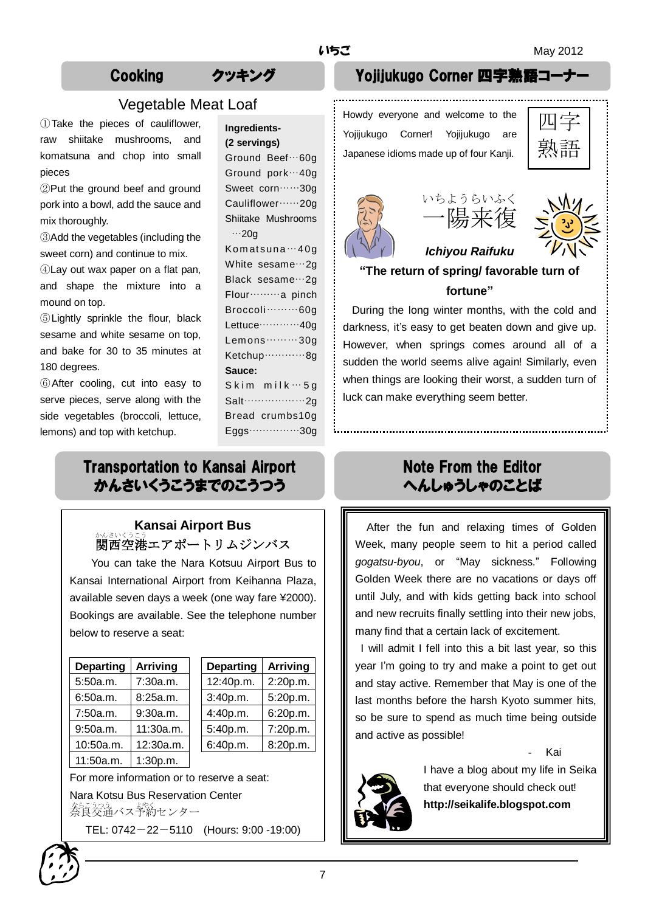### Vegetable Meat Loaf

①Take the pieces of cauliflower, raw shiitake mushrooms, and komatsuna and chop into small pieces

②Put the ground beef and ground pork into a bowl, add the sauce and mix thoroughly.

③Add the vegetables (including the sweet corn) and continue to mix.

④Lay out wax paper on a flat pan, and shape the mixture into a mound on top.

⑤Lightly sprinkle the flour, black sesame and white sesame on top, and bake for 30 to 35 minutes at 180 degrees.

⑥After cooling, cut into easy to serve pieces, serve along with the side vegetables (broccoli, lettuce, lemons) and top with ketchup.

| Ingredients-             |  |  |
|--------------------------|--|--|
| (2 servings)             |  |  |
| Ground Beef…60g          |  |  |
| Ground pork…40g          |  |  |
| Sweet corn ······ 30g    |  |  |
| Cauliflower ······ 20g   |  |  |
| Shiitake Mushrooms       |  |  |
| $\cdots$ 20g             |  |  |
| Komatsuna…40g            |  |  |
| White sesame ··· 2g      |  |  |
| Black sesame ··· 2g      |  |  |
| Flour ········· a pinch  |  |  |
| Broccoli ········· 60g   |  |  |
| Lettuce ············40g  |  |  |
| Lemons 30g               |  |  |
| Ketchup ············· 8g |  |  |
| <b>Sauce:</b>            |  |  |
| $Skim$ milk $\cdots$ 5g  |  |  |
| Salt $\cdots$ 2g         |  |  |
| Bread crumbs10g          |  |  |

Eggs……………30g

# Transportation to Kansai Airport かんさいくうこうまでのこうつう

### **Kansai Airport Bus** ゕんきいくうこう。<br>関西空港エアポートリムジンバス

You can take the Nara Kotsuu Airport Bus to Kansai International Airport from Keihanna Plaza, available seven days a week (one way fare ¥2000). Bookings are available. See the telephone number below to reserve a seat:

| <b>Departing</b> | <b>Arriving</b> | <b>Departing</b> | <b>Arriving</b> |
|------------------|-----------------|------------------|-----------------|
| 5:50a.m.         | 7:30a.m.        | 12:40p.m.        | 2:20p.m.        |
| 6:50a.m.         | 8:25a.m.        | 3:40p.m.         | 5:20p.m.        |
| 7:50a.m.         | 9:30a.m.        | 4:40p.m.         | 6:20p.m.        |
| 9:50a.m.         | 11:30a.m.       | 5:40p.m.         | 7:20p.m.        |
| 10:50a.m.        | 12:30a.m.       | 6:40p.m.         | 8:20p.m.        |
| 11:50a.m.        | 1:30p.m.        |                  |                 |

| <b>Departing</b> | <b>Arriving</b> |
|------------------|-----------------|
| 12:40p.m.        | 2:20p.m.        |
| 3:40p.m.         | 5:20p.m.        |
| 4:40p.m.         | 6:20p.m.        |
| 5:40p.m.         | 7:20p.m.        |
| 6:40p.m.         | 8:20p.m.        |
|                  |                 |

For more information or to reserve a seat: Nara Kotsu Bus Reservation Center をらえる。<br>奈良交通バス予約センター

TEL: 0742-22-5110 (Hours: 9:00 -19:00)

# Cooking クッキング Yojijukugo Corner 四字熟

Howdy everyone and welcome to the Yojijukugo Corner! Yojijukugo are Japanese idioms made up of four Kanji.

| —<br>ŕ.<br>–<br>語 |  |
|-------------------|--|







## **"The return of spring/ favorable turn of fortune"**

During the long winter months, with the cold and darkness, it's easy to get beaten down and give up. However, when springs comes around all of a sudden the world seems alive again! Similarly, even when things are looking their worst, a sudden turn of luck can make everything seem better.

# Note From the Editor へんしゅうしゃのことば

After the fun and relaxing times of Golden Week, many people seem to hit a period called *gogatsu-byou*, or "May sickness." Following Golden Week there are no vacations or days off until July, and with kids getting back into school and new recruits finally settling into their new jobs, many find that a certain lack of excitement.

I will admit I fell into this a bit last year, so this year I'm going to try and make a point to get out and stay active. Remember that May is one of the last months before the harsh Kyoto summer hits, so be sure to spend as much time being outside and active as possible!

- Kai



I have a blog about my life in Seika that everyone should check out! **http://seikalife.blogspot.com**